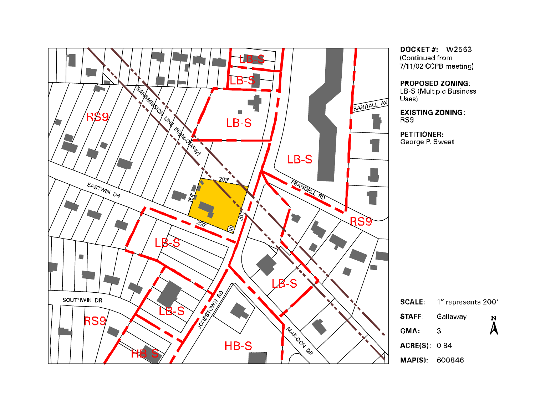

DOCKET#: W2563 (Continued from 7/11/02 CCPB meeting)

**PROPOSED ZONING:** 

LB-S (Multiple Business

**EXISTING ZONING:** 

PETITIONER: George P. Sweat

|                      | $\textsf{SCALE:}\quad$ 1" represents 200' |           |
|----------------------|-------------------------------------------|-----------|
| <b>STAFF</b>         | Gallaway                                  | N         |
| <b>GMA:</b>          | З                                         | $\lambda$ |
| <b>ACRE(S): 0.84</b> |                                           |           |
| MAP(S): 600846       |                                           |           |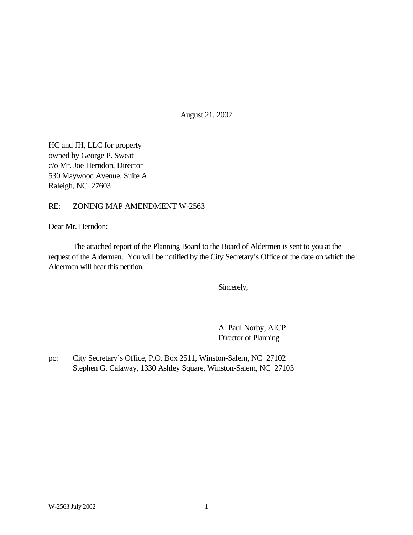August 21, 2002

HC and JH, LLC for property owned by George P. Sweat c/o Mr. Joe Herndon, Director 530 Maywood Avenue, Suite A Raleigh, NC 27603

RE: ZONING MAP AMENDMENT W-2563

Dear Mr. Herndon:

The attached report of the Planning Board to the Board of Aldermen is sent to you at the request of the Aldermen. You will be notified by the City Secretary's Office of the date on which the Aldermen will hear this petition.

Sincerely,

A. Paul Norby, AICP Director of Planning

pc: City Secretary's Office, P.O. Box 2511, Winston-Salem, NC 27102 Stephen G. Calaway, 1330 Ashley Square, Winston-Salem, NC 27103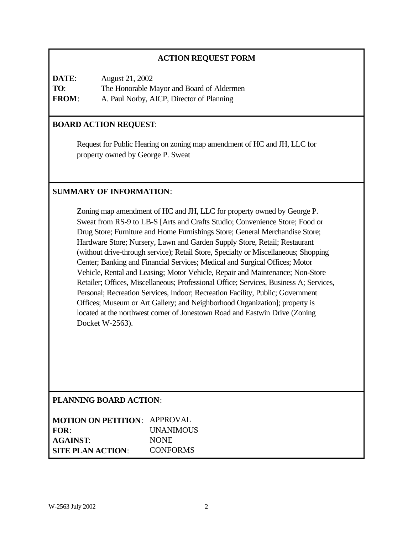## **ACTION REQUEST FORM**

**DATE**: August 21, 2002 **TO**: The Honorable Mayor and Board of Aldermen **FROM**: A. Paul Norby, AICP, Director of Planning

## **BOARD ACTION REQUEST**:

Request for Public Hearing on zoning map amendment of HC and JH, LLC for property owned by George P. Sweat

## **SUMMARY OF INFORMATION**:

Zoning map amendment of HC and JH, LLC for property owned by George P. Sweat from RS-9 to LB-S [Arts and Crafts Studio; Convenience Store; Food or Drug Store; Furniture and Home Furnishings Store; General Merchandise Store; Hardware Store; Nursery, Lawn and Garden Supply Store, Retail; Restaurant (without drive-through service); Retail Store, Specialty or Miscellaneous; Shopping Center; Banking and Financial Services; Medical and Surgical Offices; Motor Vehicle, Rental and Leasing; Motor Vehicle, Repair and Maintenance; Non-Store Retailer; Offices, Miscellaneous; Professional Office; Services, Business A; Services, Personal; Recreation Services, Indoor; Recreation Facility, Public; Government Offices; Museum or Art Gallery; and Neighborhood Organization]; property is located at the northwest corner of Jonestown Road and Eastwin Drive (Zoning Docket W-2563).

## **PLANNING BOARD ACTION**:

| <b>MOTION ON PETITION: APPROVAL</b> |                  |
|-------------------------------------|------------------|
| FOR:                                | <b>UNANIMOUS</b> |
| <b>AGAINST:</b>                     | <b>NONE</b>      |
| <b>SITE PLAN ACTION:</b>            | <b>CONFORMS</b>  |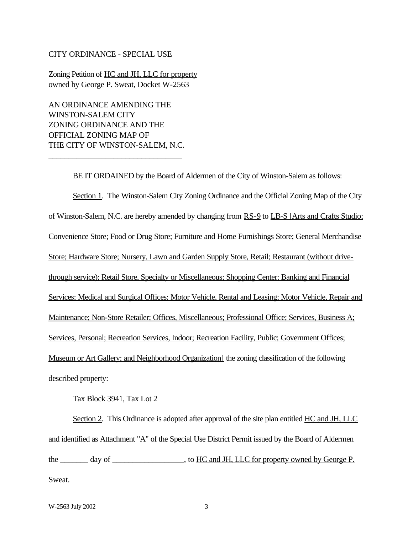#### CITY ORDINANCE - SPECIAL USE

Zoning Petition of HC and JH, LLC for property owned by George P. Sweat, Docket W-2563

AN ORDINANCE AMENDING THE WINSTON-SALEM CITY ZONING ORDINANCE AND THE OFFICIAL ZONING MAP OF THE CITY OF WINSTON-SALEM, N.C.

\_\_\_\_\_\_\_\_\_\_\_\_\_\_\_\_\_\_\_\_\_\_\_\_\_\_\_\_\_\_\_\_\_

BE IT ORDAINED by the Board of Aldermen of the City of Winston-Salem as follows: Section 1. The Winston-Salem City Zoning Ordinance and the Official Zoning Map of the City of Winston-Salem, N.C. are hereby amended by changing from RS-9 to LB-S [Arts and Crafts Studio; Convenience Store; Food or Drug Store; Furniture and Home Furnishings Store; General Merchandise Store; Hardware Store; Nursery, Lawn and Garden Supply Store, Retail; Restaurant (without drivethrough service); Retail Store, Specialty or Miscellaneous; Shopping Center; Banking and Financial Services; Medical and Surgical Offices; Motor Vehicle, Rental and Leasing; Motor Vehicle, Repair and Maintenance; Non-Store Retailer; Offices, Miscellaneous; Professional Office; Services, Business A; Services, Personal; Recreation Services, Indoor; Recreation Facility, Public; Government Offices; Museum or Art Gallery; and Neighborhood Organization] the zoning classification of the following described property:

Tax Block 3941, Tax Lot 2

Section 2. This Ordinance is adopted after approval of the site plan entitled HC and JH, LLC and identified as Attachment "A" of the Special Use District Permit issued by the Board of Aldermen the \_\_\_\_\_\_\_ day of \_\_\_\_\_\_\_\_\_\_\_\_\_\_, to HC and JH, LLC for property owned by George P.

Sweat.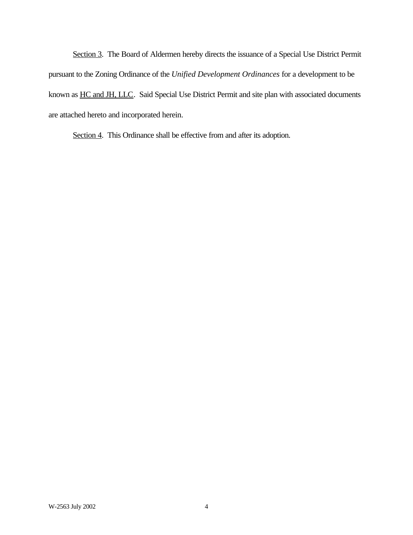Section 3. The Board of Aldermen hereby directs the issuance of a Special Use District Permit pursuant to the Zoning Ordinance of the *Unified Development Ordinances* for a development to be known as HC and JH, LLC. Said Special Use District Permit and site plan with associated documents are attached hereto and incorporated herein.

Section 4. This Ordinance shall be effective from and after its adoption.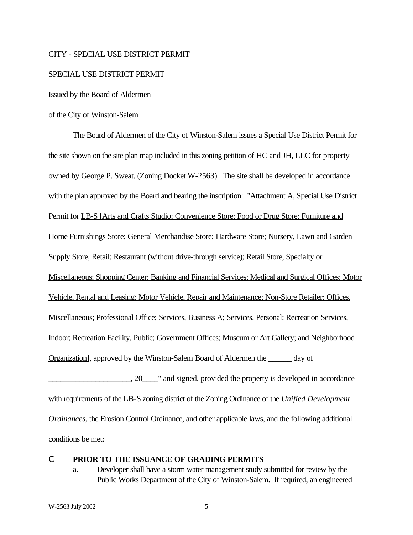#### CITY - SPECIAL USE DISTRICT PERMIT

#### SPECIAL USE DISTRICT PERMIT

Issued by the Board of Aldermen

#### of the City of Winston-Salem

The Board of Aldermen of the City of Winston-Salem issues a Special Use District Permit for the site shown on the site plan map included in this zoning petition of HC and JH, LLC for property owned by George P. Sweat, (Zoning Docket W-2563). The site shall be developed in accordance with the plan approved by the Board and bearing the inscription: "Attachment A, Special Use District Permit for LB-S [Arts and Crafts Studio; Convenience Store; Food or Drug Store; Furniture and Home Furnishings Store; General Merchandise Store; Hardware Store; Nursery, Lawn and Garden Supply Store, Retail; Restaurant (without drive-through service); Retail Store, Specialty or Miscellaneous; Shopping Center; Banking and Financial Services; Medical and Surgical Offices; Motor Vehicle, Rental and Leasing; Motor Vehicle, Repair and Maintenance; Non-Store Retailer; Offices, Miscellaneous; Professional Office; Services, Business A; Services, Personal; Recreation Services, Indoor; Recreation Facility, Public; Government Offices; Museum or Art Gallery; and Neighborhood Organization], approved by the Winston-Salem Board of Aldermen the \_\_\_\_\_\_ day of  $\Box$ , 20  $\Box$  and signed, provided the property is developed in accordance with requirements of the LB-S zoning district of the Zoning Ordinance of the *Unified Development Ordinances*, the Erosion Control Ordinance, and other applicable laws, and the following additional conditions be met:

## C **PRIOR TO THE ISSUANCE OF GRADING PERMITS**

a. Developer shall have a storm water management study submitted for review by the Public Works Department of the City of Winston-Salem. If required, an engineered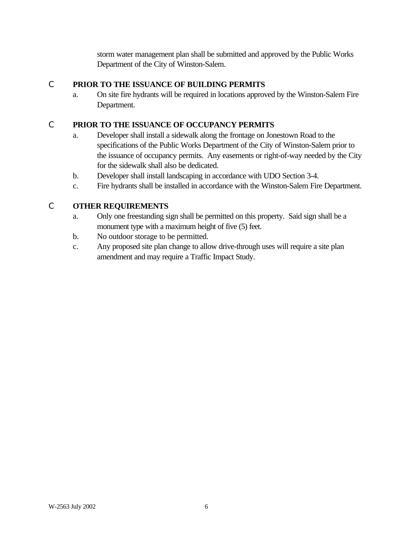storm water management plan shall be submitted and approved by the Public Works Department of the City of Winston-Salem.

## C **PRIOR TO THE ISSUANCE OF BUILDING PERMITS**

a. On site fire hydrants will be required in locations approved by the Winston-Salem Fire Department.

## C **PRIOR TO THE ISSUANCE OF OCCUPANCY PERMITS**

- a. Developer shall install a sidewalk along the frontage on Jonestown Road to the specifications of the Public Works Department of the City of Winston-Salem prior to the issuance of occupancy permits. Any easements or right-of-way needed by the City for the sidewalk shall also be dedicated.
- b. Developer shall install landscaping in accordance with UDO Section 3-4.
- c. Fire hydrants shall be installed in accordance with the Winston-Salem Fire Department.

# C **OTHER REQUIREMENTS**

- a. Only one freestanding sign shall be permitted on this property. Said sign shall be a monument type with a maximum height of five (5) feet.
- b. No outdoor storage to be permitted.
- c. Any proposed site plan change to allow drive-through uses will require a site plan amendment and may require a Traffic Impact Study.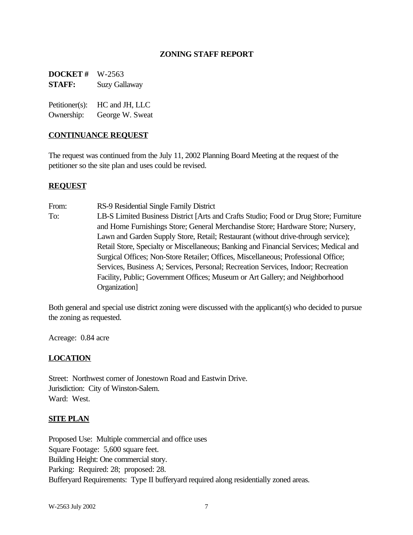## **ZONING STAFF REPORT**

**DOCKET #** W-2563 **STAFF:** Suzy Gallaway

Petitioner(s): HC and JH, LLC Ownership: George W. Sweat

#### **CONTINUANCE REQUEST**

The request was continued from the July 11, 2002 Planning Board Meeting at the request of the petitioner so the site plan and uses could be revised.

## **REQUEST**

From: RS-9 Residential Single Family District To: LB-S Limited Business District [Arts and Crafts Studio; Food or Drug Store; Furniture and Home Furnishings Store; General Merchandise Store; Hardware Store; Nursery, Lawn and Garden Supply Store, Retail; Restaurant (without drive-through service); Retail Store, Specialty or Miscellaneous; Banking and Financial Services; Medical and Surgical Offices; Non-Store Retailer; Offices, Miscellaneous; Professional Office; Services, Business A; Services, Personal; Recreation Services, Indoor; Recreation Facility, Public; Government Offices; Museum or Art Gallery; and Neighborhood Organization]

Both general and special use district zoning were discussed with the applicant(s) who decided to pursue the zoning as requested.

Acreage: 0.84 acre

## **LOCATION**

Street: Northwest corner of Jonestown Road and Eastwin Drive. Jurisdiction: City of Winston-Salem. Ward: West.

## **SITE PLAN**

Proposed Use: Multiple commercial and office uses Square Footage: 5,600 square feet. Building Height: One commercial story. Parking: Required: 28; proposed: 28. Bufferyard Requirements: Type II bufferyard required along residentially zoned areas.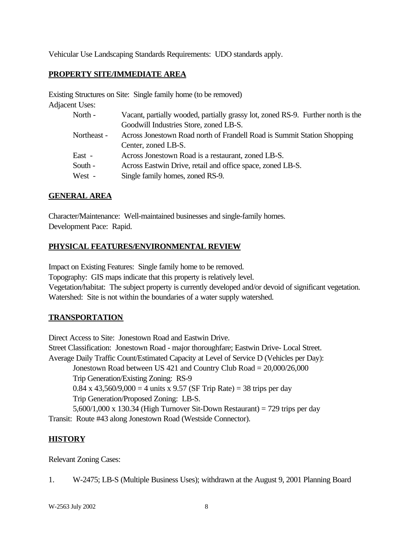Vehicular Use Landscaping Standards Requirements: UDO standards apply.

# **PROPERTY SITE/IMMEDIATE AREA**

Existing Structures on Site: Single family home (to be removed) Adjacent Uses:

| North -     | Vacant, partially wooded, partially grassy lot, zoned RS-9. Further north is the |
|-------------|----------------------------------------------------------------------------------|
|             | Goodwill Industries Store, zoned LB-S.                                           |
| Northeast - | Across Jonestown Road north of Frandell Road is Summit Station Shopping          |
|             | Center, zoned LB-S.                                                              |
| East -      | Across Jonestown Road is a restaurant, zoned LB-S.                               |
| South -     | Across Eastwin Drive, retail and office space, zoned LB-S.                       |
| West -      | Single family homes, zoned RS-9.                                                 |
|             |                                                                                  |

## **GENERAL AREA**

Character/Maintenance: Well-maintained businesses and single-family homes. Development Pace: Rapid.

## **PHYSICAL FEATURES/ENVIRONMENTAL REVIEW**

Impact on Existing Features: Single family home to be removed. Topography: GIS maps indicate that this property is relatively level. Vegetation/habitat: The subject property is currently developed and/or devoid of significant vegetation. Watershed: Site is not within the boundaries of a water supply watershed.

# **TRANSPORTATION**

Direct Access to Site: Jonestown Road and Eastwin Drive. Street Classification: Jonestown Road - major thoroughfare; Eastwin Drive- Local Street. Average Daily Traffic Count/Estimated Capacity at Level of Service D (Vehicles per Day): Jonestown Road between US 421 and Country Club Road = 20,000/26,000 Trip Generation/Existing Zoning: RS-9 0.84 x 43,560/9,000 = 4 units x 9.57 (SF Trip Rate) = 38 trips per day Trip Generation/Proposed Zoning: LB-S. 5,600/1,000 x 130.34 (High Turnover Sit-Down Restaurant) = 729 trips per day Transit: Route #43 along Jonestown Road (Westside Connector).

## **HISTORY**

Relevant Zoning Cases:

```
1. W-2475; LB-S (Multiple Business Uses); withdrawn at the August 9, 2001 Planning Board
```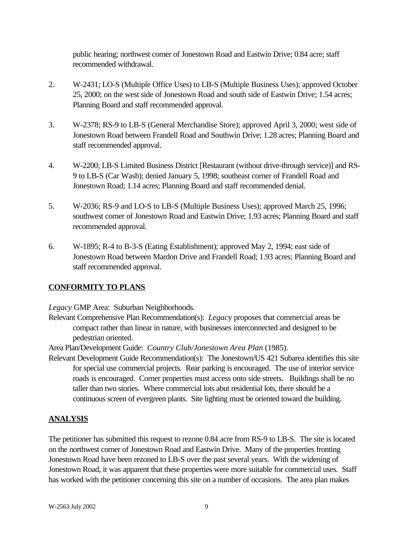public hearing; northwest corner of Jonestown Road and Eastwin Drive; 0.84 acre; staff recommended withdrawal.

- 2. W-2431; LO-S (Multiple Office Uses) to LB-S (Multiple Business Uses); approved October 25, 2000; on the west side of Jonestown Road and south side of Eastwin Drive; 1.54 acres; Planning Board and staff recommended approval.
- 3. W-2378; RS-9 to LB-S (General Merchandise Store); approved April 3, 2000; west side of Jonestown Road between Frandell Road and Southwin Drive; 1.28 acres; Planning Board and staff recommended approval.
- 4. W-2200; LB-S Limited Business District [Restaurant (without drive-through service)] and RS-9 to LB-S (Car Wash); denied January 5, 1998; southeast corner of Frandell Road and Jonestown Road; 1.14 acres; Planning Board and staff recommended denial.
- 5. W-2036; RS-9 and LO-S to LB-S (Multiple Business Uses); approved March 25, 1996; southwest corner of Jonestown Road and Eastwin Drive; 1.93 acres; Planning Board and staff recommended approval.
- 6. W-1895; R-4 to B-3-S (Eating Establishment); approved May 2, 1994; east side of Jonestown Road between Mardon Drive and Frandell Road; 1.93 acres; Planning Board and staff recommended approval.

# **CONFORMITY TO PLANS**

*Legacy* GMP Area: Suburban Neighborhoods.

Relevant Comprehensive Plan Recommendation(s): *Legac*y proposes that commercial areas be compact rather than linear in nature, with businesses interconnected and designed to be pedestrian oriented.

Area Plan/Development Guide: *Country Club/Jonestown Area Plan* (1985).

Relevant Development Guide Recommendation(s): The Jonestown/US 421 Subarea identifies this site for special use commercial projects. Rear parking is encouraged. The use of interior service roads is encouraged. Corner properties must access onto side streets. Buildings shall be no taller than two stories. Where commercial lots abut residential lots, there should be a continuous screen of evergreen plants. Site lighting must be oriented toward the building.

# **ANALYSIS**

The petitioner has submitted this request to rezone 0.84 acre from RS-9 to LB-S. The site is located on the northwest corner of Jonestown Road and Eastwin Drive. Many of the properties fronting Jonestown Road have been rezoned to LB-S over the past several years. With the widening of Jonestown Road, it was apparent that these properties were more suitable for commercial uses. Staff has worked with the petitioner concerning this site on a number of occasions. The area plan makes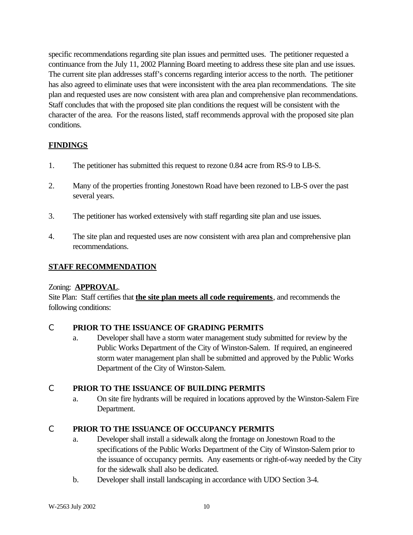specific recommendations regarding site plan issues and permitted uses. The petitioner requested a continuance from the July 11, 2002 Planning Board meeting to address these site plan and use issues. The current site plan addresses staff's concerns regarding interior access to the north. The petitioner has also agreed to eliminate uses that were inconsistent with the area plan recommendations. The site plan and requested uses are now consistent with area plan and comprehensive plan recommendations. Staff concludes that with the proposed site plan conditions the request will be consistent with the character of the area. For the reasons listed, staff recommends approval with the proposed site plan conditions.

# **FINDINGS**

- 1. The petitioner has submitted this request to rezone 0.84 acre from RS-9 to LB-S.
- 2. Many of the properties fronting Jonestown Road have been rezoned to LB-S over the past several years.
- 3. The petitioner has worked extensively with staff regarding site plan and use issues.
- 4. The site plan and requested uses are now consistent with area plan and comprehensive plan recommendations.

## **STAFF RECOMMENDATION**

## Zoning: **APPROVAL**.

Site Plan: Staff certifies that **the site plan meets all code requirements**, and recommends the following conditions:

## C **PRIOR TO THE ISSUANCE OF GRADING PERMITS**

a. Developer shall have a storm water management study submitted for review by the Public Works Department of the City of Winston-Salem. If required, an engineered storm water management plan shall be submitted and approved by the Public Works Department of the City of Winston-Salem.

# C **PRIOR TO THE ISSUANCE OF BUILDING PERMITS**

a. On site fire hydrants will be required in locations approved by the Winston-Salem Fire Department.

# C **PRIOR TO THE ISSUANCE OF OCCUPANCY PERMITS**

- a. Developer shall install a sidewalk along the frontage on Jonestown Road to the specifications of the Public Works Department of the City of Winston-Salem prior to the issuance of occupancy permits. Any easements or right-of-way needed by the City for the sidewalk shall also be dedicated.
- b. Developer shall install landscaping in accordance with UDO Section 3-4.